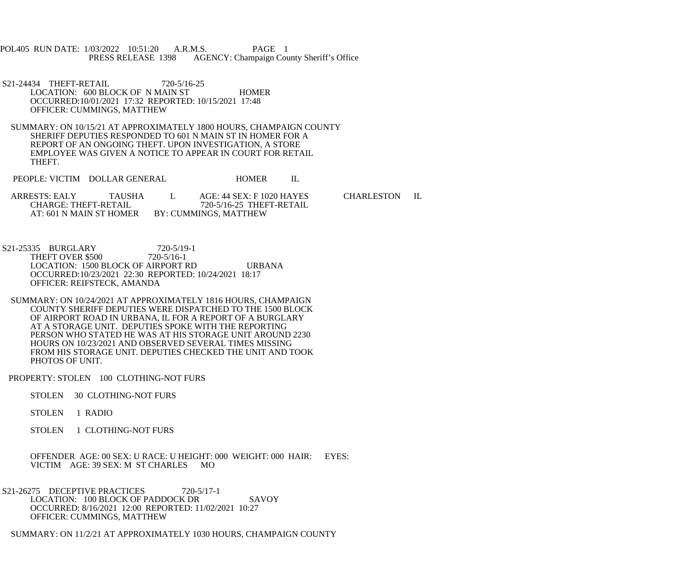POL405 RUN DATE: 1/03/2022 10:51:20 A.R.M.S. PAGE 1<br>PRESS RELEASE 1398 AGENCY: Champaign Cou AGENCY: Champaign County Sheriff's Office

S21-24434 THEFT-RETAIL 720-5/16-25 LOCATION: 600 BLOCK OF N MAIN ST HOMER OCCURRED:10/01/2021 17:32 REPORTED: 10/15/2021 17:48 OFFICER: CUMMINGS, MATTHEW

 SUMMARY: ON 10/15/21 AT APPROXIMATELY 1800 HOURS, CHAMPAIGN COUNTY SHERIFF DEPUTIES RESPONDED TO 601 N MAIN ST IN HOMER FOR A REPORT OF AN ONGOING THEFT. UPON INVESTIGATION, A STORE EMPLOYEE WAS GIVEN A NOTICE TO APPEAR IN COURT FOR RETAIL THEFT.

PEOPLE: VICTIM DOLLAR GENERAL HOMER IL

ARRESTS: EALY TAUSHA L AGE: 44 SEX: F 1020 HAYES CHARLESTON IL CHARGE: THEFT-RETAIL 720-5/16-25 THEFT-RETAIL CHARGE: THEFT-RETAIL 720-5/16-25 THEFT-RETAIL<br>AT: 601 N MAIN ST HOMER BY: CUMMINGS, MATTHEW BY: CUMMINGS, MATTHEW

 S21-25335 BURGLARY 720-5/19-1 THEFT OVER \$500 720-5/16-1 LOCATION: 1500 BLOCK OF AIRPORT RD URBANA OCCURRED:10/23/2021 22:30 REPORTED: 10/24/2021 18:17 OFFICER: REIFSTECK, AMANDA

 SUMMARY: ON 10/24/2021 AT APPROXIMATELY 1816 HOURS, CHAMPAIGN COUNTY SHERIFF DEPUTIES WERE DISPATCHED TO THE 1500 BLOCK OF AIRPORT ROAD IN URBANA, IL FOR A REPORT OF A BURGLARY AT A STORAGE UNIT. DEPUTIES SPOKE WITH THE REPORTING PERSON WHO STATED HE WAS AT HIS STORAGE UNIT AROUND 2230 HOURS ON 10/23/2021 AND OBSERVED SEVERAL TIMES MISSING FROM HIS STORAGE UNIT. DEPUTIES CHECKED THE UNIT AND TOOK PHOTOS OF UNIT.

PROPERTY: STOLEN 100 CLOTHING-NOT FURS

- STOLEN 30 CLOTHING-NOT FURS
- STOLEN 1 RADIO
- STOLEN 1 CLOTHING-NOT FURS

 OFFENDER AGE: 00 SEX: U RACE: U HEIGHT: 000 WEIGHT: 000 HAIR: EYES: VICTIM AGE: 39 SEX: M ST CHARLES MO

S21-26275 DECEPTIVE PRACTICES 720-5/17-1 LOCATION: 100 BLOCK OF PADDOCK DR SAVOY OCCURRED: 8/16/2021 12:00 REPORTED: 11/02/2021 10:27 OFFICER: CUMMINGS, MATTHEW

SUMMARY: ON 11/2/21 AT APPROXIMATELY 1030 HOURS, CHAMPAIGN COUNTY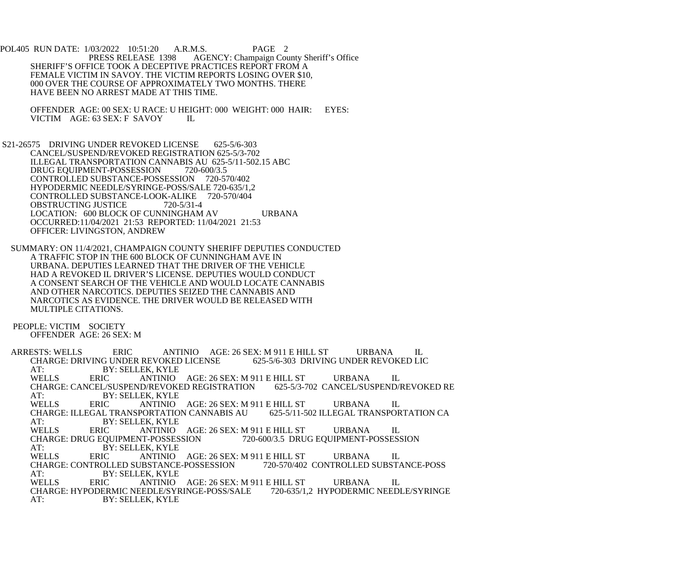POL405 RUN DATE: 1/03/2022 10:51:20 A.R.M.S. PAGE 2<br>PRESS RELEASE 1398 AGENCY: Champaign Cou AGENCY: Champaign County Sheriff's Office SHERIFF'S OFFICE TOOK A DECEPTIVE PRACTICES REPORT FROM A FEMALE VICTIM IN SAVOY. THE VICTIM REPORTS LOSING OVER \$10, 000 OVER THE COURSE OF APPROXIMATELY TWO MONTHS. THERE HAVE BEEN NO ARREST MADE AT THIS TIME.

OFFENDER AGE: 00 SEX: U RACE: U HEIGHT: 000 WEIGHT: 000 HAIR: EYES:<br>VICTIM AGE: 63 SEX: F SAVOY IL VICTIM AGE: 63 SEX: F SAVOY

 S21-26575 DRIVING UNDER REVOKED LICENSE 625-5/6-303 CANCEL/SUSPEND/REVOKED REGISTRATION 625-5/3-702 ILLEGAL TRANSPORTATION CANNABIS AU 625-5/11-502.15 ABC<br>DRUG EOUIPMENT-POSSESSION 720-600/3.5 DRUG EQUIPMENT-POSSESSION CONTROLLED SUBSTANCE-POSSESSION 720-570/402 HYPODERMIC NEEDLE/SYRINGE-POSS/SALE 720-635/1,2 CONTROLLED SUBSTANCE-LOOK-ALIKE 720-570/404<br>OBSTRUCTING JUSTICE 720-5/31-4 OBSTRUCTING JUSTICE LOCATION: 600 BLOCK OF CUNNINGHAM AV URBANA OCCURRED:11/04/2021 21:53 REPORTED: 11/04/2021 21:53 OFFICER: LIVINGSTON, ANDREW

 SUMMARY: ON 11/4/2021, CHAMPAIGN COUNTY SHERIFF DEPUTIES CONDUCTED A TRAFFIC STOP IN THE 600 BLOCK OF CUNNINGHAM AVE IN URBANA. DEPUTIES LEARNED THAT THE DRIVER OF THE VEHICLE HAD A REVOKED IL DRIVER'S LICENSE. DEPUTIES WOULD CONDUCT A CONSENT SEARCH OF THE VEHICLE AND WOULD LOCATE CANNABIS AND OTHER NARCOTICS. DEPUTIES SEIZED THE CANNABIS AND NARCOTICS AS EVIDENCE. THE DRIVER WOULD BE RELEASED WITH MULTIPLE CITATIONS.

 PEOPLE: VICTIM SOCIETY OFFENDER AGE: 26 SEX: M

ARRESTS: WELLS ERIC ANTINIO AGE: 26 SEX: M 911 E HILL ST URBANA IL CHARGE: DRIVING UNDER REVOKED LICENSE 625-5/6-303 DRIVING UNDER REVOKED LIC CHARGE: DRIVING UNDER REVOKED LICENSE AT: BY: SELLEK, KYLE<br>WELLS ERIC ANTINIO ANTINIO AGE: 26 SEX: M 911 E HILL ST URBANA IL<br>ID/REVOKED REGISTRATION 625-5/3-702 CANCEL/SUSPEND/REVOKED RE CHARGE: CANCEL/SUSPEND/REVOKED REGISTRATION AT: BY: SELLEK, KYLE<br>WELLS ERIC ANTINIO ANTINIO AGE: 26 SEX: M 911 E HILL ST URBANA IL<br>PORTATION CANNABIS AU 625-5/11-502 ILLEGAL TRANSPORTATION CA CHARGE: ILLEGAL TRANSPORTATION CANNABIS AU AT: BY: SELLEK, KYLE<br>WELLS ERIC ANTINIO WELLS ERIC ANTINIO AGE: 26 SEX: M 911 E HILL ST URBANA IL CHARGE: DRUG EQUIPMENT-POSSESSION 720-600/3.5 DRUG EQUIPMENT-POSSES! 720-600/3.5 DRUG EQUIPMENT-POSSESSION AT: BY: SELLEK, KYLE<br>WELLS ERIC ANTINIO ANTINIO AGE: 26 SEX: M 911 E HILL ST URBANA IL<br>UBSTANCE-POSSESSION 720-570/402 CONTROLLED SUBSTANCE-POSS CHARGE: CONTROLLED SUBSTANCE-POSSESSION AT: BY: SELLEK, KYLE<br>WELLS ERIC ANTINIO ERIC ANTINIO AGE: 26 SEX: M 911 E HILL ST URBANA IL<br>ODERMIC NEEDLE/SYRINGE-POSS/SALE 720-635/1,2 HYPODERMIC NEEDLE/SYRINGE CHARGE: HYPODERMIC NEEDLE/SYRINGE-POSS/SALE<br>AT: BY: SELLEK. KYLE BY: SELLEK, KYLE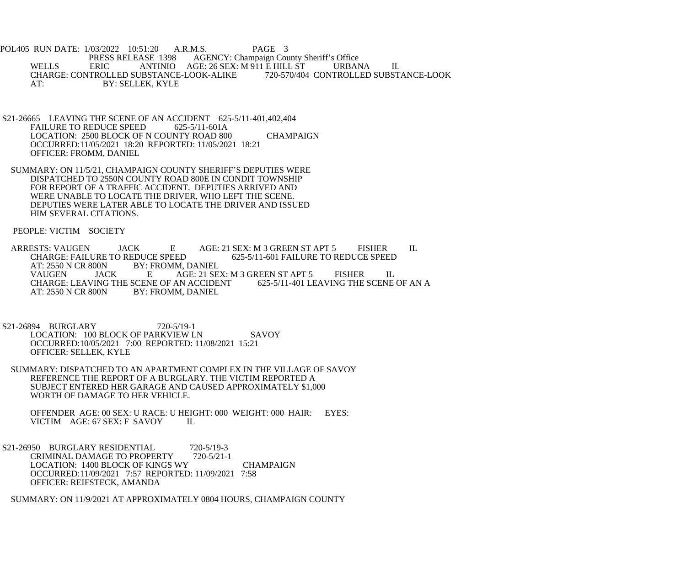POL405 RUN DATE: 1/03/2022 10:51:20 A.R.M.S. PAGE 3<br>PRESS RELEASE 1398 AGENCY: Champaign Cou PRESS RELEASE 1398 AGENCY: Champaign County Sheriff's Office<br>WELLS ERIC ANTINIO AGE: 26 SEX: M 911 E HILL ST URBAI ANTINIO AGE: 26 SEX: M 911 E HILL ST URBANA IL<br>UBSTANCE-LOOK-ALIKE 720-570/404 CONTROLLED SUBSTANCE-LOOK CHARGE: CONTROLLED SUBSTANCE-LOOK-ALIKE AT: BY: SELLEK, KYLE

- S21-26665 LEAVING THE SCENE OF AN ACCIDENT 625-5/11-401,402,404<br>FAILURE TO REDUCE SPEED 625-5/11-601A FAILURE TO REDUCE SPEED LOCATION: 2500 BLOCK OF N COUNTY ROAD 800 CHAMPAIGN OCCURRED:11/05/2021 18:20 REPORTED: 11/05/2021 18:21 OFFICER: FROMM, DANIEL
- SUMMARY: ON 11/5/21, CHAMPAIGN COUNTY SHERIFF'S DEPUTIES WERE DISPATCHED TO 2550N COUNTY ROAD 800E IN CONDIT TOWNSHIP FOR REPORT OF A TRAFFIC ACCIDENT. DEPUTIES ARRIVED AND WERE UNABLE TO LOCATE THE DRIVER, WHO LEFT THE SCENE. DEPUTIES WERE LATER ABLE TO LOCATE THE DRIVER AND ISSUED HIM SEVERAL CITATIONS.

PEOPLE: VICTIM SOCIETY

ARRESTS: VAUGEN JACK E AGE: 21 SEX: M 3 GREEN ST APT 5 FISHER IL<br>CHARGE: FAILURE TO REDUCE SPEED 625-5/11-601 FAILURE TO REDUCE SPEED CHARGE: FAILURE TO REDUCE SPEED 625-5/11-601 FAILURE TO REDUCE SPEED<br>AT: 2550 N CR 800N BY: FROMM, DANIEL AT: 2550 N CR 800N BY: FROMM, DANIEL<br>VAUGEN JACK E AGE: 21 SE AGE: 21 SEX: M 3 GREEN ST APT 5 FISHER IL<br>AN ACCIDENT 625-5/11-401 LEAVING THE SCENE OF AN A CHARGE: LEAVING THE SCENE OF AN ACCIDENT AT: 2550 N CR 800N BY: FROMM, DANIEL

 S21-26894 BURGLARY 720-5/19-1 LOCATION: 100 BLOCK OF PARKVIEW LN SAVOY OCCURRED:10/05/2021 7:00 REPORTED: 11/08/2021 15:21 OFFICER: SELLEK, KYLE

 SUMMARY: DISPATCHED TO AN APARTMENT COMPLEX IN THE VILLAGE OF SAVOY REFERENCE THE REPORT OF A BURGLARY. THE VICTIM REPORTED A SUBJECT ENTERED HER GARAGE AND CAUSED APPROXIMATELY \$1,000 WORTH OF DAMAGE TO HER VEHICLE.

 OFFENDER AGE: 00 SEX: U RACE: U HEIGHT: 000 WEIGHT: 000 HAIR: EYES: VICTIM AGE: 67 SEX: F SAVOY IL

S21-26950 BURGLARY RESIDENTIAL 720-5/19-3<br>CRIMINAL DAMAGE TO PROPERTY 720-5/21-1 CRIMINAL DAMAGE TO PROPERTY LOCATION: 1400 BLOCK OF KINGS WY CHAMPAIGN OCCURRED:11/09/2021 7:57 REPORTED: 11/09/2021 7:58 OFFICER: REIFSTECK, AMANDA

SUMMARY: ON 11/9/2021 AT APPROXIMATELY 0804 HOURS, CHAMPAIGN COUNTY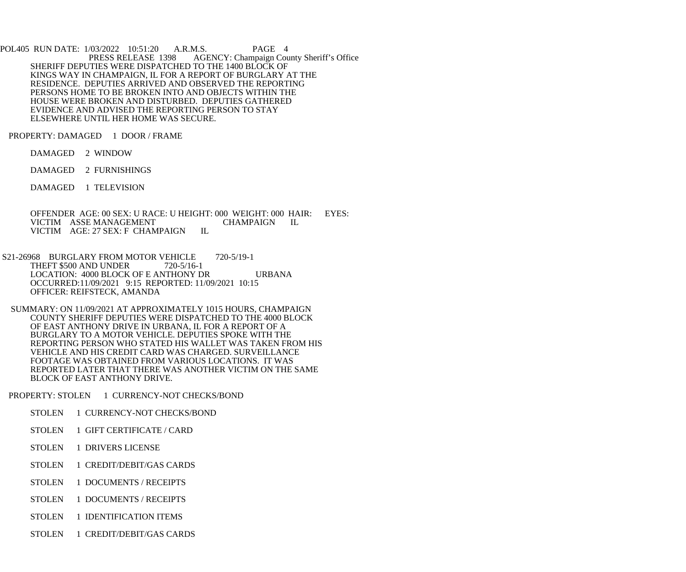POL405 RUN DATE: 1/03/2022 10:51:20 A.R.M.S. PAGE 4<br>PRESS RELEASE 1398 AGENCY: Champaign Cou AGENCY: Champaign County Sheriff's Office SHERIFF DEPUTIES WERE DISPATCHED TO THE 1400 BLOCK OF KINGS WAY IN CHAMPAIGN, IL FOR A REPORT OF BURGLARY AT THE RESIDENCE. DEPUTIES ARRIVED AND OBSERVED THE REPORTING PERSONS HOME TO BE BROKEN INTO AND OBJECTS WITHIN THE HOUSE WERE BROKEN AND DISTURBED. DEPUTIES GATHERED EVIDENCE AND ADVISED THE REPORTING PERSON TO STAY ELSEWHERE UNTIL HER HOME WAS SECURE.

PROPERTY: DAMAGED 1 DOOR / FRAME

DAMAGED 2 WINDOW

DAMAGED 2 FURNISHINGS

DAMAGED 1 TELEVISION

OFFENDER AGE: 00 SEX: U RACE: U HEIGHT: 000 WEIGHT: 000 HAIR: EYES:<br>VICTIM ASSE MANAGEMENT CHAMPAIGN IL VICTIM ASSE MANAGEMENT CHAMPAIGN IL VICTIM AGE: 27 SEX: F CHAMPAIGN IL VICTIM AGE: 27 SEX: F CHAMPAIGN

- S21-26968 BURGLARY FROM MOTOR VEHICLE 720-5/19-1<br>THEFT \$500 AND UNDER 720-5/16-1 THEFT \$500 AND UNDER LOCATION: 4000 BLOCK OF E ANTHONY DR URBANA OCCURRED:11/09/2021 9:15 REPORTED: 11/09/2021 10:15 OFFICER: REIFSTECK, AMANDA
- SUMMARY: ON 11/09/2021 AT APPROXIMATELY 1015 HOURS, CHAMPAIGN COUNTY SHERIFF DEPUTIES WERE DISPATCHED TO THE 4000 BLOCK OF EAST ANTHONY DRIVE IN URBANA, IL FOR A REPORT OF A BURGLARY TO A MOTOR VEHICLE. DEPUTIES SPOKE WITH THE REPORTING PERSON WHO STATED HIS WALLET WAS TAKEN FROM HIS VEHICLE AND HIS CREDIT CARD WAS CHARGED. SURVEILLANCE FOOTAGE WAS OBTAINED FROM VARIOUS LOCATIONS. IT WAS REPORTED LATER THAT THERE WAS ANOTHER VICTIM ON THE SAME BLOCK OF EAST ANTHONY DRIVE.

PROPERTY: STOLEN 1 CURRENCY-NOT CHECKS/BOND

- STOLEN 1 CURRENCY-NOT CHECKS/BOND
- STOLEN 1 GIFT CERTIFICATE / CARD
- STOLEN 1 DRIVERS LICENSE
- STOLEN 1 CREDIT/DEBIT/GAS CARDS
- STOLEN 1 DOCUMENTS / RECEIPTS
- STOLEN 1 DOCUMENTS / RECEIPTS
- STOLEN 1 IDENTIFICATION ITEMS
- STOLEN 1 CREDIT/DEBIT/GAS CARDS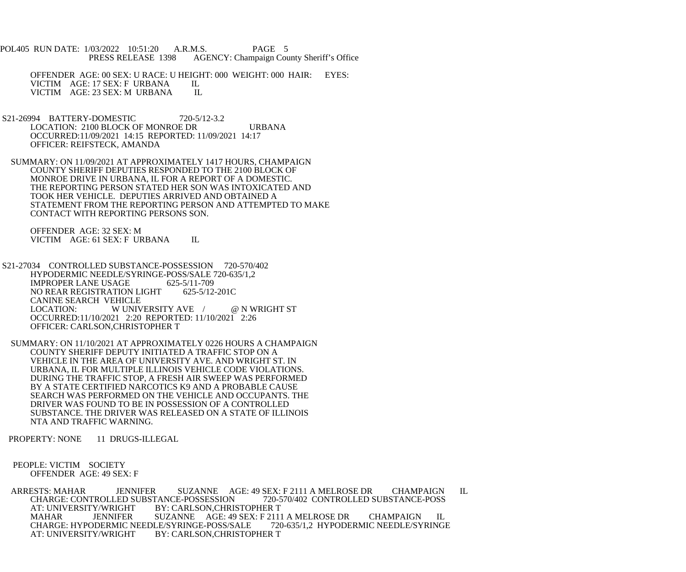POL405 RUN DATE: 1/03/2022 10:51:20 A.R.M.S. PAGE 5<br>PRESS RELEASE 1398 AGENCY: Champaign Cou AGENCY: Champaign County Sheriff's Office

 OFFENDER AGE: 00 SEX: U RACE: U HEIGHT: 000 WEIGHT: 000 HAIR: EYES: VICTIM AGE: 17 SEX: F URBANA IL<br>VICTIM AGE: 23 SEX: M URBANA IL VICTIM AGE: 23 SEX: M URBANA

- S21-26994 BATTERY-DOMESTIC 720-5/12-3.2 LOCATION: 2100 BLOCK OF MONROE DR URBANA OCCURRED:11/09/2021 14:15 REPORTED: 11/09/2021 14:17 OFFICER: REIFSTECK, AMANDA
- SUMMARY: ON 11/09/2021 AT APPROXIMATELY 1417 HOURS, CHAMPAIGN COUNTY SHERIFF DEPUTIES RESPONDED TO THE 2100 BLOCK OF MONROE DRIVE IN URBANA, IL FOR A REPORT OF A DOMESTIC. THE REPORTING PERSON STATED HER SON WAS INTOXICATED AND TOOK HER VEHICLE. DEPUTIES ARRIVED AND OBTAINED A STATEMENT FROM THE REPORTING PERSON AND ATTEMPTED TO MAKE CONTACT WITH REPORTING PERSONS SON.

 OFFENDER AGE: 32 SEX: M VICTIM AGE: 61 SEX: F URBANA IL

- S21-27034 CONTROLLED SUBSTANCE-POSSESSION 720-570/402 HYPODERMIC NEEDLE/SYRINGE-POSS/SALE 720-635/1,2<br>IMPROPER LANE USAGE 625-5/11-709 **IMPROPER LANE USAGE**  NO REAR REGISTRATION LIGHT 625-5/12-201C CANINE SEARCH VEHICLE<br>LOCATION: WUNIV W UNIVERSITY AVE / @ N WRIGHT ST OCCURRED:11/10/2021 2:20 REPORTED: 11/10/2021 2:26 OFFICER: CARLSON,CHRISTOPHER T
- SUMMARY: ON 11/10/2021 AT APPROXIMATELY 0226 HOURS A CHAMPAIGN COUNTY SHERIFF DEPUTY INITIATED A TRAFFIC STOP ON A VEHICLE IN THE AREA OF UNIVERSITY AVE. AND WRIGHT ST. IN URBANA, IL FOR MULTIPLE ILLINOIS VEHICLE CODE VIOLATIONS. DURING THE TRAFFIC STOP, A FRESH AIR SWEEP WAS PERFORMED BY A STATE CERTIFIED NARCOTICS K9 AND A PROBABLE CAUSE SEARCH WAS PERFORMED ON THE VEHICLE AND OCCUPANTS. THE DRIVER WAS FOUND TO BE IN POSSESSION OF A CONTROLLED SUBSTANCE. THE DRIVER WAS RELEASED ON A STATE OF ILLINOIS NTA AND TRAFFIC WARNING.

PROPERTY: NONE 11 DRUGS-ILLEGAL

## PEOPLE: VICTIM SOCIETY OFFENDER AGE: 49 SEX: F

 ARRESTS: MAHAR JENNIFER SUZANNE AGE: 49 SEX: F 2111 A MELROSE DR CHAMPAIGN IL CHARGE: CONTROLLED SUBSTANCE-POSSESSION<br>AT: UNIVERSITY/WRIGHT BY: CARLSON,CHRI Y/WRIGHT BY: CARLSON,CHRISTOPHER T<br>JENNIFER SUZANNE AGE: 49 SEX: F 2111 MAHAR JENNIFER SUZANNE AGE: 49 SEX: F 2111 A MELROSE DR CHAMPAIGN IL<br>CHARGE: HYPODERMIC NEEDLE/SYRINGE-POSS/SALE 720-635/1.2 HYPODERMIC NEEDLE/SYRINGE CHARGE: HYPODERMIC NEEDLE/SYRINGE-POSS/SALE AT: UNIVERSITY/WRIGHT BY: CARLSON,CHRISTOPHER T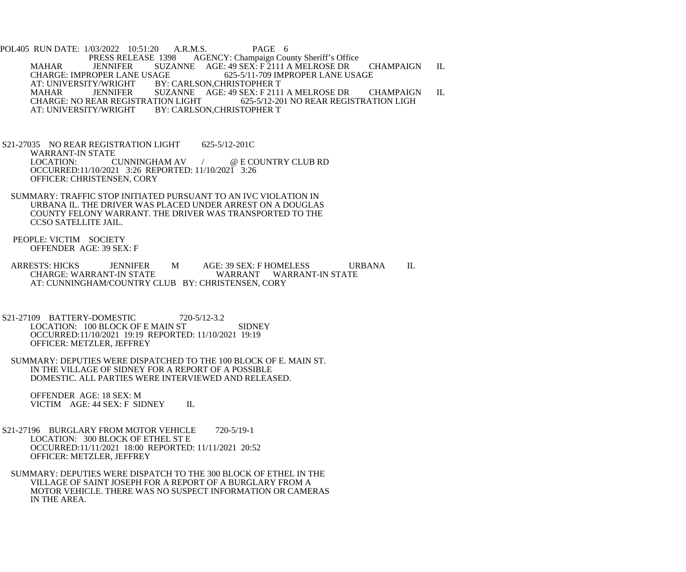POL405 RUN DATE: 1/03/2022 10:51:20 A.R.M.S. PAGE 6<br>PRESS RELEASE 1398 AGENCY: Champaign Cou AGENCY: Champaign County Sheriff's Office MAHAR JENNIFER SUZANNE AGE: 49 SEX: F 2111 A MELROSE DR CHAMPAIGN IL<br>CHARGE: IMPROPER LANE USAGE 625-5/11-709 IMPROPER LANE USAGE CHARGE: IMPROPER LANE USAGE 625-5/11-709 IMPROPER LANE USAGE<br>AT: UNIVERSITY/WRIGHT BY: CARLSON,CHRISTOPHER T Y/WRIGHT BY: CARLSON,CHRISTOPHER T<br>JENNIFER SUZANNE AGE: 49 SEX: F 2111 MAHAR JENNIFER SUZANNE AGE: 49 SEX: F 2111 A MELROSE DR CHAMPAIGN IL<br>CHARGE: NO REAR REGISTRATION LIGHT 625-5/12-201 NO REAR REGISTRATION LIGH CHARGE: NO REAR REGISTRATION LIGHT 625-5/12-201 NO REAR REGISTRATION LIGH<br>AT: UNIVERSITY/WRIGHT BY: CARLSON,CHRISTOPHER T BY: CARLSON, CHRISTOPHER T

 S21-27035 NO REAR REGISTRATION LIGHT 625-5/12-201C WARRANT-IN STATE<br>LOCATION: CUNNINGHAM AV LOCATION: CUNNINGHAM AV / @ E COUNTRY CLUB RD OCCURRED:11/10/2021 3:26 REPORTED: 11/10/2021 3:26 OFFICER: CHRISTENSEN, CORY

- SUMMARY: TRAFFIC STOP INITIATED PURSUANT TO AN IVC VIOLATION IN URBANA IL. THE DRIVER WAS PLACED UNDER ARREST ON A DOUGLAS COUNTY FELONY WARRANT. THE DRIVER WAS TRANSPORTED TO THE CCSO SATELLITE JAIL.
- PEOPLE: VICTIM SOCIETY OFFENDER AGE: 39 SEX: F
- ARRESTS: HICKS JENNIFER M AGE: 39 SEX: F HOMELESS URBANA IL<br>CHARGE: WARRANT-IN STATE WARRANT WARRANT-IN STATE WARRANT WARRANT-IN STATE AT: CUNNINGHAM/COUNTRY CLUB BY: CHRISTENSEN, CORY
- S21-27109 BATTERY-DOMESTIC 720-5/12-3.2 LOCATION: 100 BLOCK OF E MAIN ST SIDNEY OCCURRED:11/10/2021 19:19 REPORTED: 11/10/2021 19:19 OFFICER: METZLER, JEFFREY
- SUMMARY: DEPUTIES WERE DISPATCHED TO THE 100 BLOCK OF E. MAIN ST. IN THE VILLAGE OF SIDNEY FOR A REPORT OF A POSSIBLE DOMESTIC. ALL PARTIES WERE INTERVIEWED AND RELEASED.

 OFFENDER AGE: 18 SEX: M VICTIM AGE: 44 SEX: F SIDNEY IL

- S21-27196 BURGLARY FROM MOTOR VEHICLE 720-5/19-1 LOCATION: 300 BLOCK OF ETHEL ST E OCCURRED:11/11/2021 18:00 REPORTED: 11/11/2021 20:52 OFFICER: METZLER, JEFFREY
	- SUMMARY: DEPUTIES WERE DISPATCH TO THE 300 BLOCK OF ETHEL IN THE VILLAGE OF SAINT JOSEPH FOR A REPORT OF A BURGLARY FROM A MOTOR VEHICLE. THERE WAS NO SUSPECT INFORMATION OR CAMERAS IN THE AREA.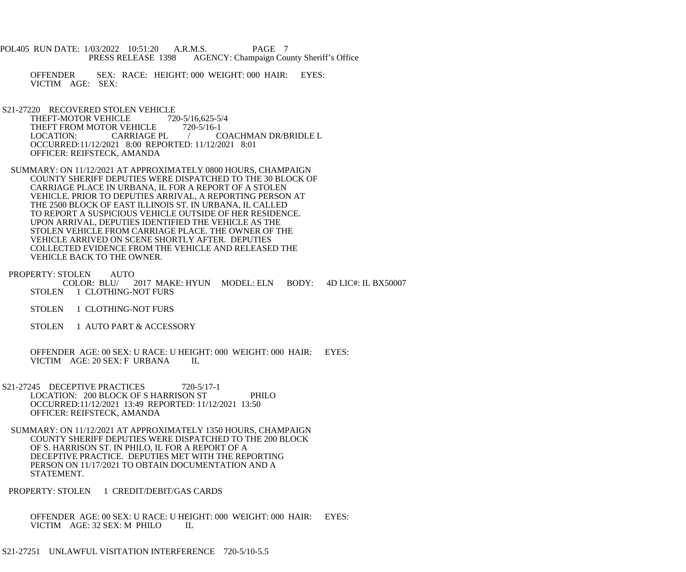- POL405 RUN DATE: 1/03/2022 10:51:20 A.R.M.S. PAGE 7 PRESS RELEASE 1398 AGENCY: Champaign County Sheriff's Office
	- OFFENDER SEX: RACE: HEIGHT: 000 WEIGHT: 000 HAIR: EYES: VICTIM AGE: SEX:
- S21-27220 RECOVERED STOLEN VEHICLE<br>THEFT-MOTOR VEHICLE 720-5/16,625-5/4 THEFT-MOTOR VEHICLE 720-5/16,625-5<br>THEFT FROM MOTOR VEHICLE 720-5/16-1 THEFT FROM MOTOR VEHICLE<br>LOCATION: CARRIAGE PL LOCATION: CARRIAGE PL / COACHMAN DR/BRIDLE L OCCURRED:11/12/2021 8:00 REPORTED: 11/12/2021 8:01 OFFICER: REIFSTECK, AMANDA
- SUMMARY: ON 11/12/2021 AT APPROXIMATELY 0800 HOURS, CHAMPAIGN COUNTY SHERIFF DEPUTIES WERE DISPATCHED TO THE 30 BLOCK OF CARRIAGE PLACE IN URBANA, IL FOR A REPORT OF A STOLEN VEHICLE. PRIOR TO DEPUTIES ARRIVAL, A REPORTING PERSON AT THE 2500 BLOCK OF EAST ILLINOIS ST. IN URBANA, IL CALLED TO REPORT A SUSPICIOUS VEHICLE OUTSIDE OF HER RESIDENCE. UPON ARRIVAL, DEPUTIES IDENTIFIED THE VEHICLE AS THE STOLEN VEHICLE FROM CARRIAGE PLACE. THE OWNER OF THE VEHICLE ARRIVED ON SCENE SHORTLY AFTER. DEPUTIES COLLECTED EVIDENCE FROM THE VEHICLE AND RELEASED THE VEHICLE BACK TO THE OWNER.
- PROPERTY: STOLEN AUTO<br>COLOR: BLU/ 2017 MAKE: HYUN MODEL: ELN BODY: 4D LIC#: IL BX50007 STOLEN 1 CLOTHING-NOT FURS
	- STOLEN 1 CLOTHING-NOT FURS
	- STOLEN 1 AUTO PART & ACCESSORY
	- OFFENDER AGE: 00 SEX: U RACE: U HEIGHT: 000 WEIGHT: 000 HAIR: EYES: VICTIM AGE: 20 SEX: F URBANA
- S21-27245 DECEPTIVE PRACTICES 720-5/17-1 LOCATION: 200 BLOCK OF S HARRISON ST PHILO OCCURRED:11/12/2021 13:49 REPORTED: 11/12/2021 13:50 OFFICER: REIFSTECK, AMANDA
- SUMMARY: ON 11/12/2021 AT APPROXIMATELY 1350 HOURS, CHAMPAIGN COUNTY SHERIFF DEPUTIES WERE DISPATCHED TO THE 200 BLOCK OF S. HARRISON ST. IN PHILO, IL FOR A REPORT OF A DECEPTIVE PRACTICE. DEPUTIES MET WITH THE REPORTING PERSON ON 11/17/2021 TO OBTAIN DOCUMENTATION AND A STATEMENT.
- PROPERTY: STOLEN 1 CREDIT/DEBIT/GAS CARDS

 OFFENDER AGE: 00 SEX: U RACE: U HEIGHT: 000 WEIGHT: 000 HAIR: EYES: VICTIM AGE: 32 SEX: M PHILO IL

S21-27251 UNLAWFUL VISITATION INTERFERENCE 720-5/10-5.5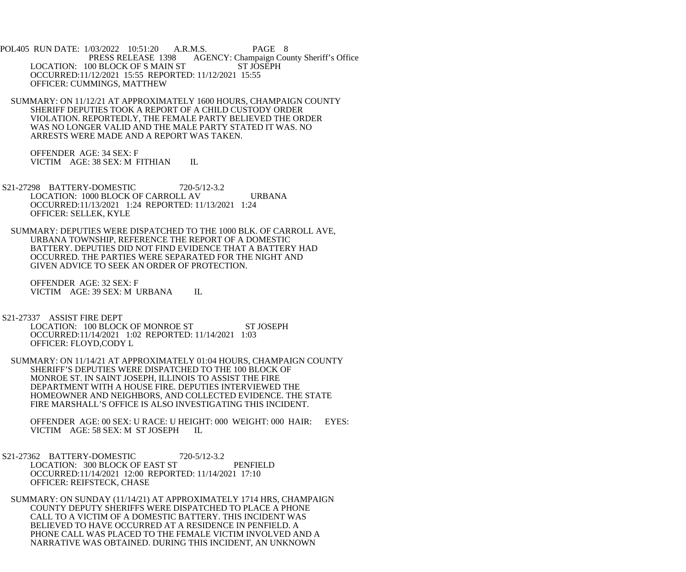POL405 RUN DATE: 1/03/2022 10:51:20 A.R.M.S. PAGE 8 PRESS RELEASE 1398 AGENCY: Champaign County Sheriff's Office LOCATION: 100 BLOCK OF S MAIN ST ST JOSEPH OCCURRED:11/12/2021 15:55 REPORTED: 11/12/2021 15:55 OFFICER: CUMMINGS, MATTHEW

 SUMMARY: ON 11/12/21 AT APPROXIMATELY 1600 HOURS, CHAMPAIGN COUNTY SHERIFF DEPUTIES TOOK A REPORT OF A CHILD CUSTODY ORDER VIOLATION. REPORTEDLY, THE FEMALE PARTY BELIEVED THE ORDER WAS NO LONGER VALID AND THE MALE PARTY STATED IT WAS. NO ARRESTS WERE MADE AND A REPORT WAS TAKEN.

 OFFENDER AGE: 34 SEX: F VICTIM AGE: 38 SEX: M FITHIAN IL

 S21-27298 BATTERY-DOMESTIC 720-5/12-3.2 LOCATION: 1000 BLOCK OF CARROLL AV URBANA OCCURRED:11/13/2021 1:24 REPORTED: 11/13/2021 1:24 OFFICER: SELLEK, KYLE

 SUMMARY: DEPUTIES WERE DISPATCHED TO THE 1000 BLK. OF CARROLL AVE, URBANA TOWNSHIP, REFERENCE THE REPORT OF A DOMESTIC BATTERY. DEPUTIES DID NOT FIND EVIDENCE THAT A BATTERY HAD OCCURRED. THE PARTIES WERE SEPARATED FOR THE NIGHT AND GIVEN ADVICE TO SEEK AN ORDER OF PROTECTION.

 OFFENDER AGE: 32 SEX: F VICTIM AGE: 39 SEX: M URBANA IL

S21-27337 ASSIST FIRE DEPT

LOCATION: 100 BLOCK OF MONROE ST ST JOSEPH OCCURRED:11/14/2021 1:02 REPORTED: 11/14/2021 1:03 OFFICER: FLOYD,CODY L

 SUMMARY: ON 11/14/21 AT APPROXIMATELY 01:04 HOURS, CHAMPAIGN COUNTY SHERIFF'S DEPUTIES WERE DISPATCHED TO THE 100 BLOCK OF MONROE ST. IN SAINT JOSEPH, ILLINOIS TO ASSIST THE FIRE DEPARTMENT WITH A HOUSE FIRE. DEPUTIES INTERVIEWED THE HOMEOWNER AND NEIGHBORS, AND COLLECTED EVIDENCE. THE STATE FIRE MARSHALL'S OFFICE IS ALSO INVESTIGATING THIS INCIDENT.

 OFFENDER AGE: 00 SEX: U RACE: U HEIGHT: 000 WEIGHT: 000 HAIR: EYES: VICTIM AGE: 58 SEX: M ST JOSEPH IL

S21-27362 BATTERY-DOMESTIC 720-5/12-3.2 LOCATION: 300 BLOCK OF EAST ST PENFIELD OCCURRED:11/14/2021 12:00 REPORTED: 11/14/2021 17:10 OFFICER: REIFSTECK, CHASE

 SUMMARY: ON SUNDAY (11/14/21) AT APPROXIMATELY 1714 HRS, CHAMPAIGN COUNTY DEPUTY SHERIFFS WERE DISPATCHED TO PLACE A PHONE CALL TO A VICTIM OF A DOMESTIC BATTERY. THIS INCIDENT WAS BELIEVED TO HAVE OCCURRED AT A RESIDENCE IN PENFIELD. A PHONE CALL WAS PLACED TO THE FEMALE VICTIM INVOLVED AND A NARRATIVE WAS OBTAINED. DURING THIS INCIDENT, AN UNKNOWN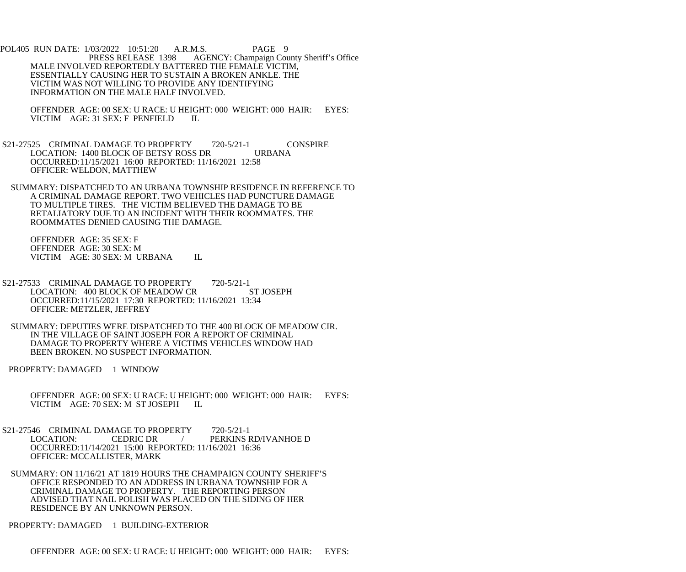POL405 RUN DATE: 1/03/2022 10:51:20 A.R.M.S. PAGE 9 PRESS RELEASE 1398 AGENCY: Champaign County Sheriff's Office MALE INVOLVED REPORTEDLY BATTERED THE FEMALE VICTIM, ESSENTIALLY CAUSING HER TO SUSTAIN A BROKEN ANKLE. THE VICTIM WAS NOT WILLING TO PROVIDE ANY IDENTIFYING INFORMATION ON THE MALE HALF INVOLVED.

OFFENDER AGE: 00 SEX: U RACE: U HEIGHT: 000 WEIGHT: 000 HAIR: EYES: VICTIM AGE: 31 SEX: F PENFIELD IL VICTIM AGE: 31 SEX: F PENFIELD

S21-27525 CRIMINAL DAMAGE TO PROPERTY 720-5/21-1 CONSPIRE<br>LOCATION: 1400 BLOCK OF BETSY ROSS DR URBANA LOCATION: 1400 BLOCK OF BETSY ROSS DR OCCURRED:11/15/2021 16:00 REPORTED: 11/16/2021 12:58 OFFICER: WELDON, MATTHEW

 SUMMARY: DISPATCHED TO AN URBANA TOWNSHIP RESIDENCE IN REFERENCE TO A CRIMINAL DAMAGE REPORT. TWO VEHICLES HAD PUNCTURE DAMAGE TO MULTIPLE TIRES. THE VICTIM BELIEVED THE DAMAGE TO BE RETALIATORY DUE TO AN INCIDENT WITH THEIR ROOMMATES. THE ROOMMATES DENIED CAUSING THE DAMAGE.

 OFFENDER AGE: 35 SEX: F OFFENDER AGE: 30 SEX: M VICTIM AGE: 30 SEX: M URBANA IL

S21-27533 CRIMINAL DAMAGE TO PROPERTY 720-5/21-1 LOCATION: 400 BLOCK OF MEADOW CR ST JOSEPH OCCURRED:11/15/2021 17:30 REPORTED: 11/16/2021 13:34 OFFICER: METZLER, JEFFREY

 SUMMARY: DEPUTIES WERE DISPATCHED TO THE 400 BLOCK OF MEADOW CIR. IN THE VILLAGE OF SAINT JOSEPH FOR A REPORT OF CRIMINAL DAMAGE TO PROPERTY WHERE A VICTIMS VEHICLES WINDOW HAD BEEN BROKEN. NO SUSPECT INFORMATION.

PROPERTY: DAMAGED 1 WINDOW

- OFFENDER AGE: 00 SEX: U RACE: U HEIGHT: 000 WEIGHT: 000 HAIR: EYES: VICTIM AGE: 70 SEX: M ST JOSEPH IL
- S21-27546 CRIMINAL DAMAGE TO PROPERTY 720-5/21-1 LOCATION: CEDRIC DR / PERKINS RD/IVANHOE D OCCURRED:11/14/2021 15:00 REPORTED: 11/16/2021 16:36 OFFICER: MCCALLISTER, MARK
- SUMMARY: ON 11/16/21 AT 1819 HOURS THE CHAMPAIGN COUNTY SHERIFF'S OFFICE RESPONDED TO AN ADDRESS IN URBANA TOWNSHIP FOR A CRIMINAL DAMAGE TO PROPERTY. THE REPORTING PERSON ADVISED THAT NAIL POLISH WAS PLACED ON THE SIDING OF HER RESIDENCE BY AN UNKNOWN PERSON.

PROPERTY: DAMAGED 1 BUILDING-EXTERIOR

OFFENDER AGE: 00 SEX: U RACE: U HEIGHT: 000 WEIGHT: 000 HAIR: EYES: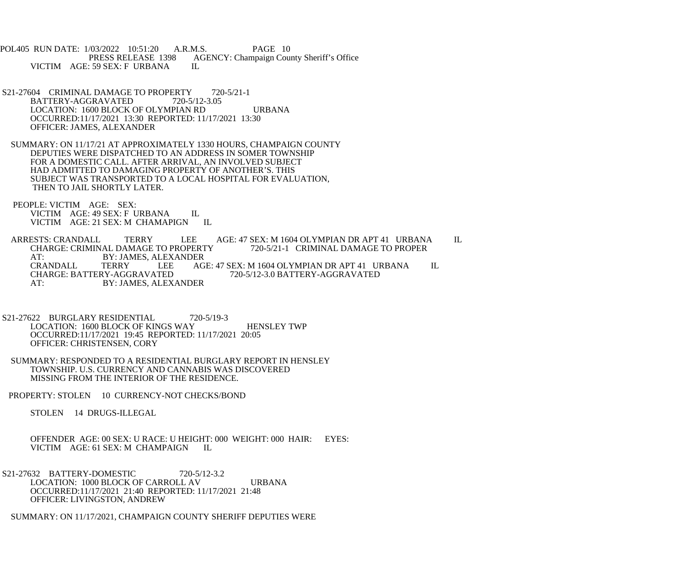POL405 RUN DATE: 1/03/2022 10:51:20 A.R.M.S. PAGE 10<br>PRESS RELEASE 1398 AGENCY: Champaign Cou AGENCY: Champaign County Sheriff's Office VICTIM AGE: 59 SEX: F URBANA IL

- S21-27604 CRIMINAL DAMAGE TO PROPERTY 720-5/21-1 BATTERY-AGGRAVATED 720-5/12-3.05 LOCATION: 1600 BLOCK OF OLYMPIAN RD URBANA OCCURRED:11/17/2021 13:30 REPORTED: 11/17/2021 13:30 OFFICER: JAMES, ALEXANDER
- SUMMARY: ON 11/17/21 AT APPROXIMATELY 1330 HOURS, CHAMPAIGN COUNTY DEPUTIES WERE DISPATCHED TO AN ADDRESS IN SOMER TOWNSHIP FOR A DOMESTIC CALL. AFTER ARRIVAL, AN INVOLVED SUBJECT HAD ADMITTED TO DAMAGING PROPERTY OF ANOTHER'S. THIS SUBJECT WAS TRANSPORTED TO A LOCAL HOSPITAL FOR EVALUATION, THEN TO JAIL SHORTLY LATER.
- PEOPLE: VICTIM AGE: SEX: VICTIM AGE: 49 SEX: F URBANA IL VICTIM AGE: 21 SEX: M CHAMAPIGN IL

 ARRESTS: CRANDALL TERRY LEE AGE: 47 SEX: M 1604 OLYMPIAN DR APT 41 URBANA IL CHARGE: CRIMINAL DAMAGE TO PROPERTY AT: BY: JAMES, ALEXANDER<br>CRANDALL TERRY LEE AC CRANDALL TERRY LEE AGE: 47 SEX: M 1604 OLYMPIAN DR APT 41 URBANA IL CHARGE: BATTERY-AGGRAVATED 720-5/12-3.0 BATTERY-AGGRAVATED CHARGE: BATTERY-AGGRAVATED 720-5/12-3.0 BATTERY-AGGRAVATED AT: BY: JAMES, ALEXANDER

- S21-27622 BURGLARY RESIDENTIAL 720-5/19-3 LOCATION: 1600 BLOCK OF KINGS WAY HENSLEY TWP OCCURRED:11/17/2021 19:45 REPORTED: 11/17/2021 20:05 OFFICER: CHRISTENSEN, CORY
- SUMMARY: RESPONDED TO A RESIDENTIAL BURGLARY REPORT IN HENSLEY TOWNSHIP. U.S. CURRENCY AND CANNABIS WAS DISCOVERED MISSING FROM THE INTERIOR OF THE RESIDENCE.
- PROPERTY: STOLEN 10 CURRENCY-NOT CHECKS/BOND

STOLEN 14 DRUGS-ILLEGAL

 OFFENDER AGE: 00 SEX: U RACE: U HEIGHT: 000 WEIGHT: 000 HAIR: EYES: VICTIM AGE: 61 SEX: M CHAMPAIGN IL

- S21-27632 BATTERY-DOMESTIC 720-5/12-3.2 LOCATION: 1000 BLOCK OF CARROLL AV URBANA OCCURRED:11/17/2021 21:40 REPORTED: 11/17/2021 21:48 OFFICER: LIVINGSTON, ANDREW
- SUMMARY: ON 11/17/2021, CHAMPAIGN COUNTY SHERIFF DEPUTIES WERE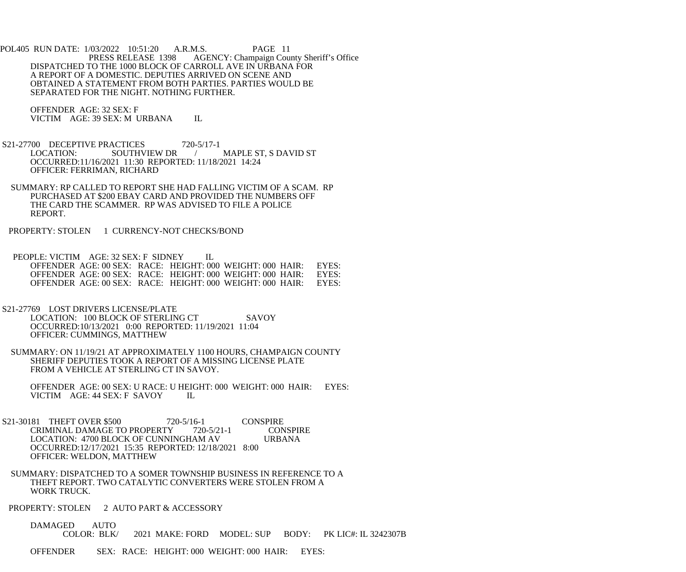POL405 RUN DATE: 1/03/2022 10:51:20 A.R.M.S. PAGE 11<br>PRESS RELEASE 1398 AGENCY: Champaign Cou AGENCY: Champaign County Sheriff's Office DISPATCHED TO THE 1000 BLOCK OF CARROLL AVE IN URBANA FOR A REPORT OF A DOMESTIC. DEPUTIES ARRIVED ON SCENE AND OBTAINED A STATEMENT FROM BOTH PARTIES. PARTIES WOULD BE SEPARATED FOR THE NIGHT. NOTHING FURTHER.

 OFFENDER AGE: 32 SEX: F VICTIM AGE: 39 SEX: M URBANA IL

- S21-27700 DECEPTIVE PRACTICES 720-5/17-1<br>LOCATION: SOUTHVIEW DR / MAPLE ST, S DAVID ST OCCURRED:11/16/2021 11:30 REPORTED: 11/18/2021 14:24 OFFICER: FERRIMAN, RICHARD
- SUMMARY: RP CALLED TO REPORT SHE HAD FALLING VICTIM OF A SCAM. RP PURCHASED AT \$200 EBAY CARD AND PROVIDED THE NUMBERS OFF THE CARD THE SCAMMER. RP WAS ADVISED TO FILE A POLICE REPORT.
- PROPERTY: STOLEN 1 CURRENCY-NOT CHECKS/BOND

PEOPLE: VICTIM AGE: 32 SEX: F SIDNEY IL OFFENDER AGE: 00 SEX: RACE: HEIGHT: 000 WEIGHT: 000 HAIR: EYES: OFFENDER AGE: 00 SEX: RACE: HEIGHT: 000 WEIGHT: 000 HAIR: EYES: OFFENDER AGE: 00 SEX: RACE: HEIGHT: 000 WEIGHT: 000 HAIR: EYES: OFFENDER AGE: 00 SEX: RACE: HEIGHT: 000 WEIGHT: 000 HAIR: EYES: OFFENDER AGE: 00 SEX: RACE: HEIGHT: 000 WEIGHT: 000 HAIR:

- S21-27769 LOST DRIVERS LICENSE/PLATE LOCATION: 100 BLOCK OF STERLING CT SAVOY OCCURRED:10/13/2021 0:00 REPORTED: 11/19/2021 11:04 OFFICER: CUMMINGS, MATTHEW
- SUMMARY: ON 11/19/21 AT APPROXIMATELY 1100 HOURS, CHAMPAIGN COUNTY SHERIFF DEPUTIES TOOK A REPORT OF A MISSING LICENSE PLATE FROM A VEHICLE AT STERLING CT IN SAVOY.

 OFFENDER AGE: 00 SEX: U RACE: U HEIGHT: 000 WEIGHT: 000 HAIR: EYES: VICTIM AGE: 44 SEX: F SAVOY IL

- S21-30181 THEFT OVER \$500 720-5/16-1 CONSPIRE<br>CRIMINAL DAMAGE TO PROPERTY 720-5/21-1 CONSPIRE CRIMINAL DAMAGE TO PROPERTY LOCATION: 4700 BLOCK OF CUNNINGHAM AV URBANA OCCURRED:12/17/2021 15:35 REPORTED: 12/18/2021 8:00 OFFICER: WELDON, MATTHEW
- SUMMARY: DISPATCHED TO A SOMER TOWNSHIP BUSINESS IN REFERENCE TO A THEFT REPORT. TWO CATALYTIC CONVERTERS WERE STOLEN FROM A WORK TRUCK.

PROPERTY: STOLEN 2 AUTO PART & ACCESSORY

DAMAGED AUTO<br>COLOR: BLK/ 2021 MAKE: FORD MODEL: SUP BODY: PK LIC#: IL 3242307B

OFFENDER SEX: RACE: HEIGHT: 000 WEIGHT: 000 HAIR: EYES: